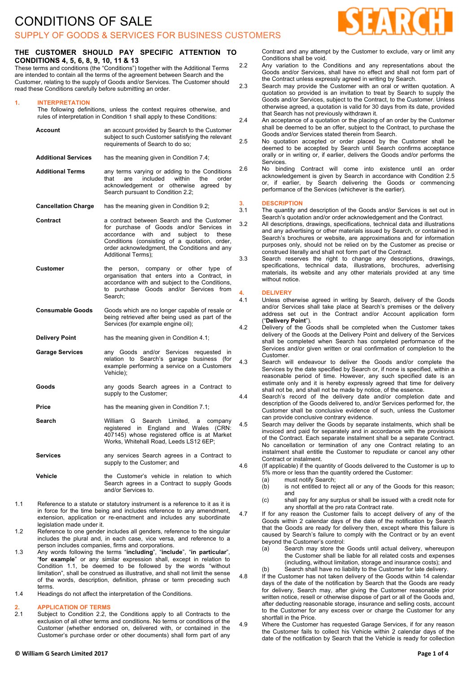### SUPPLY OF GOODS & SERVICES FOR BUSINESS CUSTOMERS

#### **THE CUSTOMER SHOULD PAY SPECIFIC ATTENTION TO CONDITIONS 4, 5, 6, 8, 9, 10, 11 & 13**

These terms and conditions (the "Conditions") together with the Additional Terms are intended to contain all the terms of the agreement between Search and the Customer, relating to the supply of Goods and/or Services. The Customer should read these Conditions carefully before submitting an order.

#### **1. INTERPRETATION**

The following definitions, unless the context requires otherwise, and rules of interpretation in Condition 1 shall apply to these Conditions:

| Account                    | an account provided by Search to the Customer<br>subject to such Customer satisfying the relevant<br>requirements of Search to do so;                                                                                                                                    | 2      |
|----------------------------|--------------------------------------------------------------------------------------------------------------------------------------------------------------------------------------------------------------------------------------------------------------------------|--------|
| <b>Additional Services</b> | has the meaning given in Condition 7.4;                                                                                                                                                                                                                                  |        |
| <b>Additional Terms</b>    | any terms varying or adding to the Conditions<br>within<br>included<br>the<br>order<br>that<br>are<br>acknowledgement or<br>otherwise<br>agreed<br>by<br>Search pursuant to Condition 2.2;                                                                               | 2      |
| <b>Cancellation Charge</b> | has the meaning given in Condition 9.2;                                                                                                                                                                                                                                  | ć      |
| Contract                   | a contract between Search and the Customer<br>for purchase of Goods and/or Services in<br>accordance<br>with<br>and<br>subject to<br>these<br>Conditions (consisting of a quotation, order,<br>order acknowledgment, the Conditions and any<br><b>Additional Terms):</b> | ć<br>З |
| Customer                   | person, company or other type<br>the<br>οf<br>organisation that enters into a Contract, in<br>accordance with and subject to the Conditions,<br>to purchase Goods and/or Services<br>from<br>Search:                                                                     | 4      |
| <b>Consumable Goods</b>    | Goods which are no longer capable of resale or<br>being retrieved after being used as part of the<br>Services (for example engine oil);                                                                                                                                  |        |
| <b>Delivery Point</b>      | has the meaning given in Condition 4.1;                                                                                                                                                                                                                                  |        |
| <b>Garage Services</b>     | any Goods and/or Services<br>requested<br>in<br>relation to Search's garage<br>business (for<br>example performing a service on a Customers<br>Vehicle);                                                                                                                 |        |
| Goods                      | any goods Search agrees in a Contract to<br>supply to the Customer;                                                                                                                                                                                                      |        |
| Price                      | has the meaning given in Condition 7.1;                                                                                                                                                                                                                                  |        |
| Search                     | G<br>Search Limited, a company<br>William<br>registered in England and Wales<br>(CRN:<br>407145) whose registered office is at Market<br>Works, Whitehall Road, Leeds LS12 6EP;                                                                                          | 4      |
| Services                   | any services Search agrees in a Contract to<br>supply to the Customer; and                                                                                                                                                                                               |        |
| Vehicle                    | the Customer's vehicle in relation to which<br>Search agrees in a Contract to supply Goods<br>and/or Services to.                                                                                                                                                        |        |

- 1.1 Reference to a statute or statutory instrument is a reference to it as it is in force for the time being and includes reference to any amendment, extension, application or re-enactment and includes any subordinate legislation made under it.
- 1.2 Reference to one gender includes all genders, reference to the singular includes the plural and, in each case, vice versa, and reference to a person includes companies, firms and corporations.
- 1.3 Any words following the terms "**including**", "**include**", "**in particular**", "**for example**" or any similar expression shall, except in relation to Condition 1.1, be deemed to be followed by the words "without limitation", shall be construed as illustrative, and shall not limit the sense of the words, description, definition, phrase or term preceding such terms.
- 1.4 Headings do not affect the interpretation of the Conditions.

# **2. APPLICATION OF TERMS**

Subject to Condition 2.2, the Conditions apply to all Contracts to the exclusion of all other terms and conditions. No terms or conditions of the Customer (whether endorsed on, delivered with, or contained in the Customer's purchase order or other documents) shall form part of any

Contract and any attempt by the Customer to exclude, vary or limit any Conditions shall be void.

- 2.2 Any variation to the Conditions and any representations about the Goods and/or Services, shall have no effect and shall not form part of the Contract unless expressly agreed in writing by Search.
- 2.3 Search may provide the Customer with an oral or written quotation. A quotation so provided is an invitation to treat by Search to supply the Goods and/or Services, subject to the Contract, to the Customer. Unless otherwise agreed, a quotation is valid for 30 days from its date, provided that Search has not previously withdrawn it.
- 2.4 An acceptance of a quotation or the placing of an order by the Customer shall be deemed to be an offer, subject to the Contract, to purchase the Goods and/or Services stated therein from Search.
- 2.5 No quotation accepted or order placed by the Customer shall be deemed to be accepted by Search until Search confirms acceptance orally or in writing or, if earlier, delivers the Goods and/or performs the Services.
- 2.6 No binding Contract will come into existence until an order acknowledgement is given by Search in accordance with Condition 2.5 or, if earlier, by Search delivering the Goods or commencing performance of the Services (whichever is the earlier).

#### **3. DESCRIPTION**

- 3.1 The quantity and description of the Goods and/or Services is set out in Search's quotation and/or order acknowledgement and the Contract.
- 3.2 All descriptions, drawings, specifications, technical data and illustrations and any advertising or other materials issued by Search, or contained in Search's brochures or website, are approximations and for information purposes only, should not be relied on by the Customer as precise or construed literally and shall not form part of the Contract.
- 3.3 Search reserves the right to change any descriptions, drawings, specifications, technical data, illustrations, brochures, advertising materials, its website and any other materials provided at any time without notice.

#### **4. DELIVERY**

- 4.1 Unless otherwise agreed in writing by Search, delivery of the Goods and/or Services shall take place at Search's premises or the delivery address set out in the Contract and/or Account application form ("**Delivery Point**").
- 1.2 Delivery of the Goods shall be completed when the Customer takes delivery of the Goods at the Delivery Point and delivery of the Services shall be completed when Search has completed performance of the Services and/or given written or oral confirmation of completion to the Customer.
- 4.3 Search will endeavour to deliver the Goods and/or complete the Services by the date specified by Search or, if none is specified, within a reasonable period of time. However, any such specified date is an estimate only and it is hereby expressly agreed that time for delivery shall not be, and shall not be made by notice, of the essence.
- 4.4 Search's record of the delivery date and/or completion date and description of the Goods delivered to, and/or Services performed for, the Customer shall be conclusive evidence of such, unless the Customer can provide conclusive contrary evidence.
- 4.5 Search may deliver the Goods by separate instalments, which shall be invoiced and paid for separately and in accordance with the provisions of the Contract. Each separate instalment shall be a separate Contract. No cancellation or termination of any one Contract relating to an instalment shall entitle the Customer to repudiate or cancel any other Contract or instalment.
- 4.6 (If applicable) if the quantity of Goods delivered to the Customer is up to 5% more or less than the quantity ordered the Customer:
	- (a) must notify Search;
	- (b) is not entitled to reject all or any of the Goods for this reason; and
	- (c) shall pay for any surplus or shall be issued with a credit note for any shortfall at the pro rata Contract rate.
- 4.7 If for any reason the Customer fails to accept delivery of any of the Goods within 2 calendar days of the date of the notification by Search that the Goods are ready for delivery then, except where this failure is caused by Search's failure to comply with the Contract or by an event beyond the Customer's control:
	- (a) Search may store the Goods until actual delivery, whereupon the Customer shall be liable for all related costs and expenses (including, without limitation, storage and insurance costs); and (b) Search shall have no liability to the Customer for late delivery.
- 4.8 If the Customer has not taken delivery of the Goods within 14 calendar days of the date of the notification by Search that the Goods are ready for delivery, Search may, after giving the Customer reasonable prior written notice, resell or otherwise dispose of part or all of the Goods and, after deducting reasonable storage, insurance and selling costs, account to the Customer for any excess over or charge the Customer for any shortfall in the Price.
- 4.9 Where the Customer has requested Garage Services, if for any reason the Customer fails to collect his Vehicle within 2 calendar days of the date of the notification by Search that the Vehicle is ready for collection

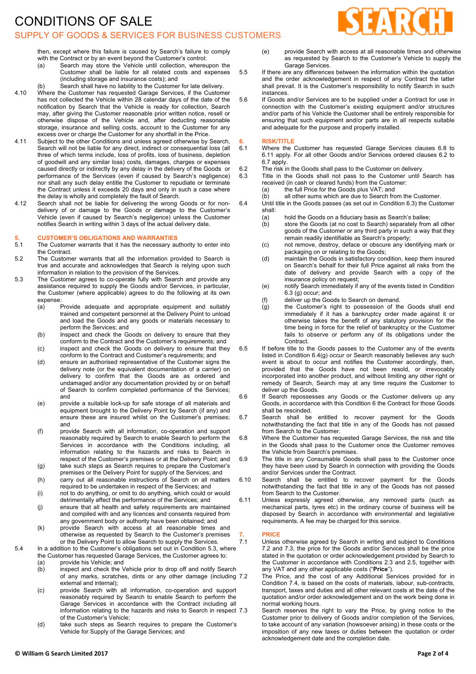# CONDITIONS OF SALE

### SUPPLY OF GOODS & SERVICES FOR BUSINESS CUSTOMERS



then, except where this failure is caused by Search's failure to comply with the Contract or by an event beyond the Customer's control:

- (a) Search may store the Vehicle until collection, whereupon the Customer shall be liable for all related costs and expenses (including storage and insurance costs); and
- (b) Search shall have no liability to the Customer for late delivery.
- 4.10 Where the Customer has requested Garage Services, if the Customer has not collected the Vehicle within 28 calendar days of the date of the notification by Search that the Vehicle is ready for collection, Search may, after giving the Customer reasonable prior written notice, resell or otherwise dispose of the Vehicle and, after deducting reasonable storage, insurance and selling costs, account to the Customer for any excess over or charge the Customer for any shortfall in the Price.
- 4.11 Subject to the other Conditions and unless agreed otherwise by Search, Search will not be liable for any direct, indirect or consequential loss (all three of which terms include, loss of profits, loss of business, depletion of goodwill and any similar loss) costs, damages, charges or expenses caused directly or indirectly by any delay in the delivery of the Goods or performance of the Services (even if caused by Search's negligence) nor shall any such delay entitle the Customer to repudiate or terminate the Contract unless it exceeds 20 days and only in such a case where the delay is wholly and completely the fault of Search.
- 4.12 Search shall not be liable for delivering the wrong Goods or for nondelivery of or damage to the Goods or damage to the Customer's Vehicle (even if caused by Search's negligence) unless the Customer notifies Search in writing within 3 days of the actual delivery date.

#### **5. CUSTOMER'S OBLIGATIONS AND WARRANTIES**

- 5.1 The Customer warrants that it has the necessary authority to enter into the Contract.
- 5.2 The Customer warrants that all the information provided to Search is true and accurate and acknowledges that Search is relying upon such information in relation to the provision of the Services.
- 5.3 The Customer agrees to co-operate fully with Search and provide any assistance required to supply the Goods and/or Services, in particular, the Customer (where applicable) agrees to do the following at its own expense:
	- (a) Provide adequate and appropriate equipment and suitably trained and competent personnel at the Delivery Point to unload and load the Goods and any goods or materials necessary to perform the Services; and
	- (b) Inspect and check the Goods on delivery to ensure that they conform to the Contract and the Customer's requirements; and (c) inspect and check the Goods on delivery to ensure that they
	- conform to the Contract and Customer's requirements; and
	- (d) ensure an authorised representative of the Customer signs the delivery note (or the equivalent documentation of a carrier) on delivery to confirm that the Goods are as ordered and undamaged and/or any documentation provided by or on behalf of Search to confirm completed performance of the Services; and
	- (e) provide a suitable lock-up for safe storage of all materials and equipment brought to the Delivery Point by Search (if any) and ensure these are insured whilst on the Customer's premises; and
	- (f) provide Search with all information, co-operation and support reasonably required by Search to enable Search to perform the Services in accordance with the Conditions including, all information relating to the hazards and risks to Search in respect of the Customer's premises or at the Delivery Point; and
	- (g) take such steps as Search requires to prepare the Customer's premises or the Delivery Point for supply of the Services; and
	- (h) carry out all reasonable instructions of Search on all matters required to be undertaken in respect of the Services; and
	- (i) not to do anything, or omit to do anything, which could or would detrimentally affect the performance of the Services; and
	- (j) ensure that all health and safety requirements are maintained and compiled with and any licences and consents required from any government body or authority have been obtained; and
	- (k) provide Search with access at all reasonable times and otherwise as requested by Search to the Customer's premises or the Delivery Point to allow Search to supply the Services.
- 5.4 In a addition to the Customer's obligations set out in Condition 5.3, where the Customer has requested Garage Services, the Customer agrees to: (a) provide his Vehicle; and
	- (b) inspect and check the Vehicle prior to drop off and notify Search of any marks, scratches, dints or any other damage (including 7.2 external and internal);
	- (c) provide Search with all information, co-operation and support reasonably required by Search to enable Search to perform the Garage Services in accordance with the Contract including all information relating to the hazards and risks to Search in respect 7.3 of the Customer's Vehicle;
	- (d) take such steps as Search requires to prepare the Customer's Vehicle for Supply of the Garage Services; and
- (e) provide Search with access at all reasonable times and otherwise as requested by Search to the Customer's Vehicle to supply the Garage Services.
- 5.5 If there are any differences between the information within the quotation and the order acknowledgement in respect of any Contract the latter shall prevail. It is the Customer's responsibility to notify Search in such instances.
- 5.6 If Goods and/or Services are to be supplied under a Contract for use in connection with the Customer's existing equipment and/or structures and/or parts of his Vehicle the Customer shall be entirely responsible for ensuring that such equipment and/or parts are in all respects suitable and adequate for the purpose and properly installed.

# **6. RISK/TITLE**

- 6.1 Where the Customer has requested Garage Services clauses 6.8 to 6.11 apply. For all other Goods and/or Services ordered clauses 6.2 to 6.7 apply.
- 6.2 The risk in the Goods shall pass to the Customer on delivery.<br>6.3 Title in the Goods shall not pass to the Customer until
	- Title in the Goods shall not pass to the Customer until Search has received (in cash or cleared funds) from the Customer:
- (a) the full Price for the Goods plus VAT; and
- (b) all other sums which are due to Search from the Customer. 6.4 Until title in the Goods passes (as set out in Condition 6.3) the Customer shall:
	-
	- (a) hold the Goods on a fiduciary basis as Search's bailee;<br>(b) store the Goods (at no cost to Search) separately from store the Goods (at no cost to Search) separately from all other goods of the Customer or any third party in such a way that they remain readily identifiable as Search's property;
	- (c) not remove, destroy, deface or obscure any identifying mark or packaging on or relating to the Goods;
	- (d) maintain the Goods in satisfactory condition, keep them insured on Search's behalf for their full Price against all risks from the date of delivery and provide Search with a copy of the insurance policy on request;
	- (e) notify Search immediately if any of the events listed in Condition 6.3 (g) occur; and
	- (f) deliver up the Goods to Search on demand.
	- (g) the Customer's right to possession of the Goods shall end immediately if it has a bankruptcy order made against it or otherwise takes the benefit of any statutory provision for the time being in force for the relief of bankruptcy or the Customer fails to observe or perform any of its obligations under the Contract.
- 6.5 If before title to the Goods passes to the Customer any of the events listed in Condition 6.4(g) occur or Search reasonably believes any such event is about to occur and notifies the Customer accordingly, then, provided that the Goods have not been resold, or irrevocably incorporated into another product, and without limiting any other right or remedy of Search, Search may at any time require the Customer to deliver up the Goods.
- 6.6 If Search repossesses any Goods or the Customer delivers up any Goods, in accordance with this Condition 6 the Contract for those Goods shall be rescinded.<br>Search shall be
- 6.7 Search shall be entitled to recover payment for the Goods notwithstanding the fact that title in any of the Goods has not passed from Search to the Customer.
- 6.8 Where the Customer has requested Garage Services, the risk and title in the Goods shall pass to the Customer once the Customer removes the Vehicle from Search's premises.
- 6.9 The title in any Consumable Goods shall pass to the Customer once they have been used by Search in connection with providing the Goods and/or Services under the Contract.
- 6.10 Search shall be entitled to recover payment for the Goods notwithstanding the fact that title in any of the Goods has not passed from Search to the Customer.
- 6.11 Unless expressly agreed otherwise, any removed parts (such as mechanical parts, tyres etc) in the ordinary course of business will be disposed by Search in accordance with environmental and legislative requirements. A fee may be charged for this service.

### **7. PRICE**

Unless otherwise agreed by Search in writing and subject to Conditions 7.2 and 7.3, the price for the Goods and/or Services shall be the price stated in the quotation or order acknowledgement provided by Search to the Customer in accordance with Conditions 2.3 and 2.5, together with any VAT and any other applicable costs ("**Price**").

The Price, and the cost of any Additional Services provided for in Condition 7.4, is based on the costs of materials, labour, sub-contracts, transport, taxes and duties and all other relevant costs at the date of the quotation and/or order acknowledgement and on the work being done in normal working hours.

Search reserves the right to vary the Price, by giving notice to the Customer prior to delivery of Goods and/or completion of the Services, to take account of any variation (howsoever arising) in these costs or the imposition of any new taxes or duties between the quotation or order acknowledgement date and the completion date.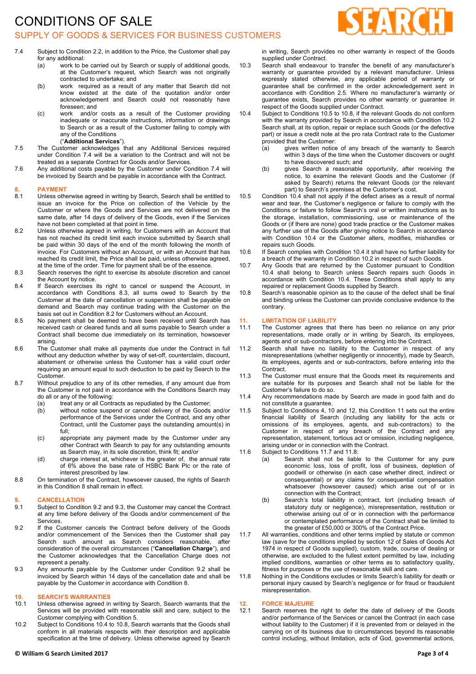# CONDITIONS OF SALE SUPPLY OF GOODS & SERVICES FOR BUSINESS CUSTOMERS



- 7.4 Subject to Condition 2.2, in addition to the Price, the Customer shall pay for any additional:
	- (a) work to be carried out by Search or supply of additional goods, at the Customer's request, which Search was not originally contracted to undertake; and
	- (b) work required as a result of any matter that Search did not know existed at the date of the quotation and/or order acknowledgement and Search could not reasonably have foreseen; and
	- (c) work and/or costs as a result of the Customer providing inadequate or inaccurate instructions, information or drawings to Search or as a result of the Customer failing to comply with any of the Conditions ("**Additional Services**").
- 7.5 The Customer acknowledges that any Additional Services required under Condition 7.4 will be a variation to the Contract and will not be treated as a separate Contract for Goods and/or Services.
- 7.6 Any additional costs payable by the Customer under Condition 7.4 will be invoiced by Search and be payable in accordance with the Contract.

#### **8. PAYMENT**

- 8.1 Unless otherwise agreed in writing by Search, Search shall be entitled to issue an invoice for the Price on collection of the Vehicle by the Customer or where the Goods and Services are not delivered on the same date, after 14 days of delivery of the Goods, even if the Services have not been completed at that point in time.
- 8.2 Unless otherwise agreed in writing, for Customers with an Account that has not reached its credit limit each invoice submitted by Search shall be paid within 30 days of the end of the month following the month of invoice. For Customers without an Account, or with an Account that has reached its credit limit, the Price shall be paid, unless otherwise agreed, at the time of the order. Time for payment shall be of the essence.
- 8.3 Search reserves the right to exercise its absolute discretion and cancel the Account by notice.
- 8.4 If Search exercises its right to cancel or suspend the Account, in accordance with Conditions 8.3, all sums owed to Search by the Customer at the date of cancellation or suspension shall be payable on demand and Search may continue trading with the Customer on the basis set out in Condition 8.2 for Customers without an Account.
- 8.5 No payment shall be deemed to have been received until Search has received cash or cleared funds and all sums payable to Search under a Contract shall become due immediately on its termination, howsoever arising.
- 8.6 The Customer shall make all payments due under the Contract in full without any deduction whether by way of set-off, counterclaim, discount, abatement or otherwise unless the Customer has a valid court order requiring an amount equal to such deduction to be paid by Search to the Customer.
- 8.7 Without prejudice to any of its other remedies, if any amount due from the Customer is not paid in accordance with the Conditions Search may do all or any of the following:
	- (a) treat any or all Contracts as repudiated by the Customer;
	- (b) without notice suspend or cancel delivery of the Goods and/or performance of the Services under the Contract, and any other Contract, until the Customer pays the outstanding amount(s) in full;
	- (c) appropriate any payment made by the Customer under any other Contract with Search to pay for any outstanding amounts as Search may, in its sole discretion, think fit; and/or
	- (d) charge interest at, whichever is the greater of, the annual rate of 6% above the base rate of HSBC Bank Plc or the rate of interest prescribed by law.
- 8.8 On termination of the Contract, howsoever caused, the rights of Search in this Condition 8 shall remain in effect.

#### **9. CANCELLATION**

- 9.1 Subject to Condition 9.2 and 9.3, the Customer may cancel the Contract at any time before delivery of the Goods and/or commencement of the Services.
- 9.2 If the Customer cancels the Contract before delivery of the Goods and/or commencement of the Services then the Customer shall pay Search such amount as Search considers reasonable, after consideration of the overall circumstances ("**Cancellation Charge**"), and the Customer acknowledges that the Cancellation Charge does not represent a penalty.
- 9.3 Any amounts payable by the Customer under Condition 9.2 shall be invoiced by Search within 14 days of the cancellation date and shall be payable by the Customer in accordance with Condition 8.

#### **10. SEARCH'S WARRANTIES**

- 10.1 Unless otherwise agreed in writing by Search, Search warrants that the Services will be provided with reasonable skill and care, subject to the Customer complying with Condition 5.
- 10.2 Subject to Conditions 10.4 to 10.8, Search warrants that the Goods shall conform in all materials respects with their description and applicable specification at the time of delivery. Unless otherwise agreed by Search

**© William G Search Limited 2017 Page 3 of 4**

in writing, Search provides no other warranty in respect of the Goods supplied under Contract.

- 10.3 Search shall endeavour to transfer the benefit of any manufacturer's warranty or guarantee provided by a relevant manufacturer. Unless expressly stated otherwise, any applicable period of warranty or guarantee shall be confirmed in the order acknowledgement sent in accordance with Condition 2.5. Where no manufacturer's warranty or guarantee exists, Search provides no other warranty or guarantee in respect of the Goods supplied under Contract.
- 10.4 Subject to Conditions 10.5 to 10.8, if the relevant Goods do not conform with the warranty provided by Search in accordance with Condition 10.2 Search shall, at its option, repair or replace such Goods (or the defective part) or issue a credit note at the pro rata Contract rate to the Customer provided that the Customer:
	- (a) gives written notice of any breach of the warranty to Search within 3 days of the time when the Customer discovers or ought to have discovered such; and
	- (b) gives Search a reasonable opportunity, after receiving the notice, to examine the relevant Goods and the Customer (if asked by Search) returns the relevant Goods (or the relevant part) to Search's premises at the Customer's cost.
- 10.5 Condition 10.4 shall not apply if the defect arises as a result of normal wear and tear, the Customer's negligence or failure to comply with the Conditions or failure to follow Search's oral or written instructions as to the storage, installation, commissioning, use or maintenance of the Goods or (if there are none) good trade practice or the Customer makes any further use of the Goods after giving notice to Search in accordance with Condition 10.4 or the Customer alters, modifies, mishandles or repairs such Goods.
- 10.6 If Search complies with Condition 10.4 it shall have no further liability for a breach of the warranty in Condition 10.2 in respect of such Goods.
- 10.7 Any Goods that are returned by the Customer pursuant to Condition 10.4 shall belong to Search unless Search repairs such Goods in accordance with Condition 10.4. These Conditions shall apply to any repaired or replacement Goods supplied by Search.
- 10.8 Search's reasonable opinion as to the cause of the defect shall be final and binding unless the Customer can provide conclusive evidence to the contrary.

# **11. LIMITATION OF LIABILITY**

- The Customer agrees that there has been no reliance on any prior representations, made orally or in writing by Search, its employees, agents and or sub-contractors, before entering into the Contract.
- 11.2 Search shall have no liability to the Customer in respect of any misrepresentations (whether negligently or innocently), made by Search, its employees, agents and or sub-contractors, before entering into the Contract.
- 11.3 The Customer must ensure that the Goods meet its requirements and are suitable for its purposes and Search shall not be liable for the Customer's failure to do so.
- 11.4 Any recommendations made by Search are made in good faith and do not constitute a guarantee.
- 11.5 Subject to Conditions 4, 10 and 12, this Condition 11 sets out the entire financial liability of Search (including any liability for the acts or omissions of its employees, agents, and sub-contractors) to the Customer in respect of any breach of the Contract and any representation, statement, tortious act or omission, including negligence, arising under or in connection with the Contract.
- 11.6 Subject to Conditions 11.7 and 11.8:
	- (a) Search shall not be liable to the Customer for any pure economic loss, loss of profit, loss of business, depletion of goodwill or otherwise (in each case whether direct, indirect or consequential) or any claims for consequential compensation whatsoever (howsoever caused) which arise out of or in connection with the Contract;
	- (b) Search's total liability in contract, tort (including breach of statutory duty or negligence), misrepresentation, restitution or otherwise arising out of or in connection with the performance or contemplated performance of the Contract shall be limited to the greater of £50,000 or 300% of the Contract Price.
- 11.7 All warranties, conditions and other terms implied by statute or common law (save for the conditions implied by section 12 of Sales of Goods Act 1974 in respect of Goods supplied), custom, trade, course of dealing or otherwise, are excluded to the fullest extent permitted by law, including implied conditions, warranties or other terms as to satisfactory quality, fitness for purposes or the use of reasonable skill and care.
- 11.8 Nothing in the Conditions excludes or limits Search's liability for death or personal injury caused by Search's negligence or for fraud or fraudulent misrepresentation.

# **12. FORCE MAJEURE**

Search reserves the right to defer the date of delivery of the Goods and/or performance of the Services or cancel the Contract (in each case without liability to the Customer) if it is prevented from or delayed in the carrying on of its business due to circumstances beyond its reasonable control including, without limitation, acts of God, governmental actions,